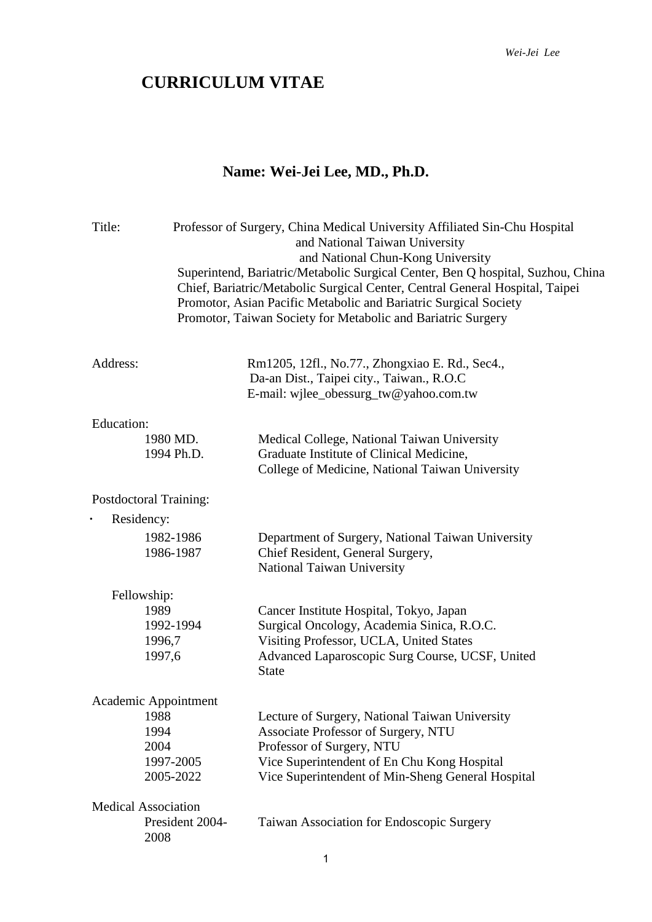## **CURRICULUM VITAE**

## **Name: Wei-Jei Lee, MD., Ph.D.**

| Title:                                                |                        | Professor of Surgery, China Medical University Affiliated Sin-Chu Hospital<br>and National Taiwan University<br>and National Chun-Kong University<br>Superintend, Bariatric/Metabolic Surgical Center, Ben Q hospital, Suzhou, China<br>Chief, Bariatric/Metabolic Surgical Center, Central General Hospital, Taipei<br>Promotor, Asian Pacific Metabolic and Bariatric Surgical Society<br>Promotor, Taiwan Society for Metabolic and Bariatric Surgery |
|-------------------------------------------------------|------------------------|----------------------------------------------------------------------------------------------------------------------------------------------------------------------------------------------------------------------------------------------------------------------------------------------------------------------------------------------------------------------------------------------------------------------------------------------------------|
| Address:                                              |                        | Rm1205, 12fl., No.77., Zhongxiao E. Rd., Sec4.,<br>Da-an Dist., Taipei city., Taiwan., R.O.C<br>E-mail: wjlee_obessurg_tw@yahoo.com.tw                                                                                                                                                                                                                                                                                                                   |
| <b>Education:</b>                                     |                        |                                                                                                                                                                                                                                                                                                                                                                                                                                                          |
|                                                       | 1980 MD.<br>1994 Ph.D. | Medical College, National Taiwan University<br>Graduate Institute of Clinical Medicine,<br>College of Medicine, National Taiwan University                                                                                                                                                                                                                                                                                                               |
| Postdoctoral Training:                                |                        |                                                                                                                                                                                                                                                                                                                                                                                                                                                          |
| Residency:                                            |                        |                                                                                                                                                                                                                                                                                                                                                                                                                                                          |
|                                                       | 1982-1986<br>1986-1987 | Department of Surgery, National Taiwan University<br>Chief Resident, General Surgery,<br>National Taiwan University                                                                                                                                                                                                                                                                                                                                      |
| Fellowship:                                           |                        |                                                                                                                                                                                                                                                                                                                                                                                                                                                          |
| 1989<br>1996,7<br>1997,6                              | 1992-1994              | Cancer Institute Hospital, Tokyo, Japan<br>Surgical Oncology, Academia Sinica, R.O.C.<br>Visiting Professor, UCLA, United States<br>Advanced Laparoscopic Surg Course, UCSF, United<br><b>State</b>                                                                                                                                                                                                                                                      |
| Academic Appointment                                  |                        |                                                                                                                                                                                                                                                                                                                                                                                                                                                          |
| 1988                                                  |                        | Lecture of Surgery, National Taiwan University                                                                                                                                                                                                                                                                                                                                                                                                           |
| 1994                                                  |                        | Associate Professor of Surgery, NTU                                                                                                                                                                                                                                                                                                                                                                                                                      |
| 2004                                                  |                        | Professor of Surgery, NTU                                                                                                                                                                                                                                                                                                                                                                                                                                |
|                                                       | 1997-2005              | Vice Superintendent of En Chu Kong Hospital                                                                                                                                                                                                                                                                                                                                                                                                              |
|                                                       | 2005-2022              | Vice Superintendent of Min-Sheng General Hospital                                                                                                                                                                                                                                                                                                                                                                                                        |
| <b>Medical Association</b><br>President 2004-<br>2008 |                        | Taiwan Association for Endoscopic Surgery                                                                                                                                                                                                                                                                                                                                                                                                                |